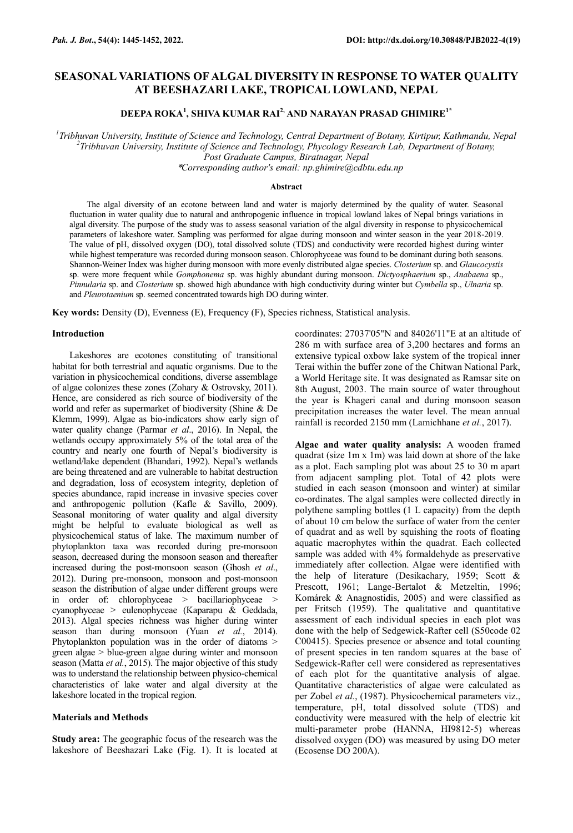# **SEASONAL VARIATIONS OF ALGAL DIVERSITY IN RESPONSE TO WATER QUALITY AT BEESHAZARI LAKE, TROPICAL LOWLAND, NEPAL**

## **DEEPA ROKA<sup>1</sup> , SHIVA KUMAR RAI2, AND NARAYAN PRASAD GHIMIRE1\***

*1 Tribhuvan University, Institute of Science and Technology, Central Department of Botany, Kirtipur, Kathmandu, Nepal 2 Tribhuvan University, Institute of Science and Technology, Phycology Research Lab, Department of Botany,* 

*Post Graduate Campus, Biratnagar, Nepal*

\**Corresponding author's email: np.ghimire@cdbtu.edu.np*

## **Abstract**

The algal diversity of an ecotone between land and water is majorly determined by the quality of water. Seasonal fluctuation in water quality due to natural and anthropogenic influence in tropical lowland lakes of Nepal brings variations in algal diversity. The purpose of the study was to assess seasonal variation of the algal diversity in response to physicochemical parameters of lakeshore water. Sampling was performed for algae during monsoon and winter season in the year 2018-2019. The value of pH, dissolved oxygen (DO), total dissolved solute (TDS) and conductivity were recorded highest during winter while highest temperature was recorded during monsoon season. Chlorophyceae was found to be dominant during both seasons. Shannon-Weiner Index was higher during monsoon with more evenly distributed algae species. *Closterium* sp. and *Glaucocystis* sp. were more frequent while *Gomphonema* sp. was highly abundant during monsoon. *Dictyosphaerium* sp., *Anabaena* sp., *Pinnularia* sp. and *Closterium* sp. showed high abundance with high conductivity during winter but *Cymbella* sp., *Ulnaria* sp. and *Pleurotaenium* sp. seemed concentrated towards high DO during winter.

**Key words:** Density (D), Evenness (E), Frequency (F), Species richness, Statistical analysis.

## **Introduction**

Lakeshores are ecotones constituting of transitional habitat for both terrestrial and aquatic organisms. Due to the variation in physicochemical conditions, diverse assemblage of algae colonizes these zones (Zohary & Ostrovsky, 2011). Hence, are considered as rich source of biodiversity of the world and refer as supermarket of biodiversity (Shine & De Klemm, 1999). Algae as bio-indicators show early sign of water quality change (Parmar *et al*., 2016). In Nepal, the wetlands occupy approximately 5% of the total area of the country and nearly one fourth of Nepal's biodiversity is wetland/lake dependent (Bhandari, 1992). Nepal's wetlands are being threatened and are vulnerable to habitat destruction and degradation, loss of ecosystem integrity, depletion of species abundance, rapid increase in invasive species cover and anthropogenic pollution (Kafle & Savillo, 2009). Seasonal monitoring of water quality and algal diversity might be helpful to evaluate biological as well as physicochemical status of lake. The maximum number of phytoplankton taxa was recorded during pre-monsoon season, decreased during the monsoon season and thereafter increased during the post-monsoon season (Ghosh *et al*., 2012). During pre-monsoon, monsoon and post-monsoon season the distribution of algae under different groups were in order of: chlorophyceae > bacillariophyceae > cyanophyceae > eulenophyceae (Kaparapu & Geddada, 2013). Algal species richness was higher during winter season than during monsoon (Yuan *et al.*, 2014). Phytoplankton population was in the order of diatoms > green algae > blue-green algae during winter and monsoon season (Matta *et al.*, 2015). The major objective of this study was to understand the relationship between physico-chemical characteristics of lake water and algal diversity at the lakeshore located in the tropical region.

## **Materials and Methods**

**Study area:** The geographic focus of the research was the lakeshore of Beeshazari Lake (Fig. 1). It is located at coordinates: 27037'05"N and 84026'11"E at an altitude of 286 m with surface area of 3,200 hectares and forms an extensive typical oxbow lake system of the tropical inner Terai within the buffer zone of the Chitwan National Park, a World Heritage site. It was designated as Ramsar site on 8th August, 2003. The main source of water throughout the year is Khageri canal and during monsoon season precipitation increases the water level. The mean annual rainfall is recorded 2150 mm (Lamichhane *et al.*, 2017).

**Algae and water quality analysis:** A wooden framed quadrat (size 1m x 1m) was laid down at shore of the lake as a plot. Each sampling plot was about 25 to 30 m apart from adjacent sampling plot. Total of 42 plots were studied in each season (monsoon and winter) at similar co-ordinates. The algal samples were collected directly in polythene sampling bottles (1 L capacity) from the depth of about 10 cm below the surface of water from the center of quadrat and as well by squishing the roots of floating aquatic macrophytes within the quadrat. Each collected sample was added with 4% formaldehyde as preservative immediately after collection. Algae were identified with the help of literature (Desikachary, 1959; Scott & Prescott, 1961; Lange-Bertalot & Metzeltin, 1996; Komárek & Anagnostidis, 2005) and were classified as per Fritsch (1959). The qualitative and quantitative assessment of each individual species in each plot was done with the help of Sedgewick-Rafter cell (S50code 02 C00415). Species presence or absence and total counting of present species in ten random squares at the base of Sedgewick-Rafter cell were considered as representatives of each plot for the quantitative analysis of algae. Quantitative characteristics of algae were calculated as per Zobel *et al.*, (1987). Physicochemical parameters viz., temperature, pH, total dissolved solute (TDS) and conductivity were measured with the help of electric kit multi-parameter probe (HANNA, HI9812-5) whereas dissolved oxygen (DO) was measured by using DO meter (Ecosense DO 200A).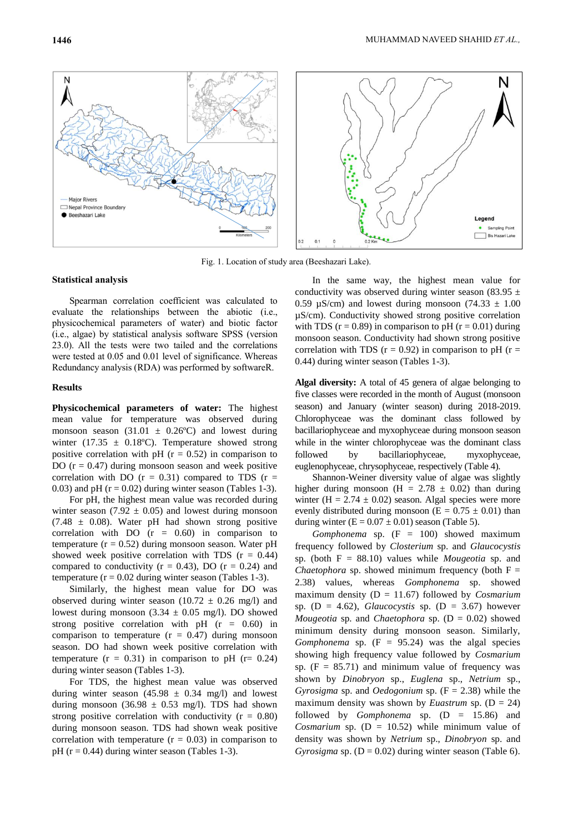

Fig. 1. Location of study area (Beeshazari Lake).

#### **Statistical analysis**

Spearman correlation coefficient was calculated to evaluate the relationships between the abiotic (i.e., physicochemical parameters of water) and biotic factor (i.e., algae) by statistical analysis software SPSS (version 23.0). All the tests were two tailed and the correlations were tested at 0.05 and 0.01 level of significance. Whereas Redundancy analysis (RDA) was performed by softwareR.

#### **Results**

**Physicochemical parameters of water:** The highest mean value for temperature was observed during monsoon season  $(31.01 \pm 0.26^{\circ}\text{C})$  and lowest during winter (17.35  $\pm$  0.18°C). Temperature showed strong positive correlation with pH  $(r = 0.52)$  in comparison to DO  $(r = 0.47)$  during monsoon season and week positive correlation with DO  $(r = 0.31)$  compared to TDS  $(r =$ 0.03) and pH  $(r = 0.02)$  during winter season (Tables 1-3).

For pH, the highest mean value was recorded during winter season (7.92  $\pm$  0.05) and lowest during monsoon  $(7.48 \pm 0.08)$ . Water pH had shown strong positive correlation with  $DO$  ( $r = 0.60$ ) in comparison to temperature ( $r = 0.52$ ) during monsoon season. Water pH showed week positive correlation with TDS  $(r = 0.44)$ compared to conductivity ( $r = 0.43$ ), DO ( $r = 0.24$ ) and temperature  $(r = 0.02$  during winter season (Tables 1-3).

Similarly, the highest mean value for DO was observed during winter season (10.72  $\pm$  0.26 mg/l) and lowest during monsoon  $(3.34 \pm 0.05 \text{ mg/l})$ . DO showed strong positive correlation with pH  $(r = 0.60)$  in comparison to temperature  $(r = 0.47)$  during monsoon season. DO had shown week positive correlation with temperature  $(r = 0.31)$  in comparison to pH  $(r = 0.24)$ during winter season (Tables 1-3).

For TDS, the highest mean value was observed during winter season  $(45.98 \pm 0.34 \text{ mg/l})$  and lowest during monsoon (36.98  $\pm$  0.53 mg/l). TDS had shown strong positive correlation with conductivity  $(r = 0.80)$ during monsoon season. TDS had shown weak positive correlation with temperature  $(r = 0.03)$  in comparison to pH ( $r = 0.44$ ) during winter season (Tables 1-3).

In the same way, the highest mean value for conductivity was observed during winter season (83.95  $\pm$ 0.59  $\mu$ S/cm) and lowest during monsoon (74.33  $\pm$  1.00 µS/cm). Conductivity showed strong positive correlation with TDS ( $r = 0.89$ ) in comparison to pH ( $r = 0.01$ ) during monsoon season. Conductivity had shown strong positive correlation with TDS ( $r = 0.92$ ) in comparison to pH ( $r =$ 0.44) during winter season (Tables 1-3).

**Algal diversity:** A total of 45 genera of algae belonging to five classes were recorded in the month of August (monsoon season) and January (winter season) during 2018-2019. Chlorophyceae was the dominant class followed by bacillariophyceae and myxophyceae during monsoon season while in the winter chlorophyceae was the dominant class followed by bacillariophyceae, myxophyceae, euglenophyceae, chrysophyceae, respectively (Table 4).

Shannon-Weiner diversity value of algae was slightly higher during monsoon (H =  $2.78 \pm 0.02$ ) than during winter (H =  $2.74 \pm 0.02$ ) season. Algal species were more evenly distributed during monsoon ( $E = 0.75 \pm 0.01$ ) than during winter  $(E = 0.07 \pm 0.01)$  season (Table 5).

*Gomphonema* sp. (F = 100) showed maximum frequency followed by *Closterium* sp. and *Glaucocystis* sp. (both F = 88.10) values while *Mougeotia* sp. and *Chaetophora* sp. showed minimum frequency (both  $F =$ 2.38) values, whereas *Gomphonema* sp. showed maximum density (D = 11.67) followed by *Cosmarium* sp.  $(D = 4.62)$ , *Glaucocystis* sp.  $(D = 3.67)$  however *Mougeotia* sp. and *Chaetophora* sp. (D = 0.02) showed minimum density during monsoon season. Similarly, *Gomphonema* sp.  $(F = 95.24)$  was the algal species showing high frequency value followed by *Cosmarium* sp.  $(F = 85.71)$  and minimum value of frequency was shown by *Dinobryon* sp., *Euglena* sp., *Netrium* sp., *Gyrosigma* sp. and *Oedogonium* sp. (F = 2.38) while the maximum density was shown by *Euastrum* sp.  $(D = 24)$ followed by *Gomphonema* sp. (D = 15.86) and *Cosmarium* sp.  $(D = 10.52)$  while minimum value of density was shown by *Netrium* sp., *Dinobryon* sp. and *Gyrosigma* sp.  $(D = 0.02)$  during winter season (Table 6).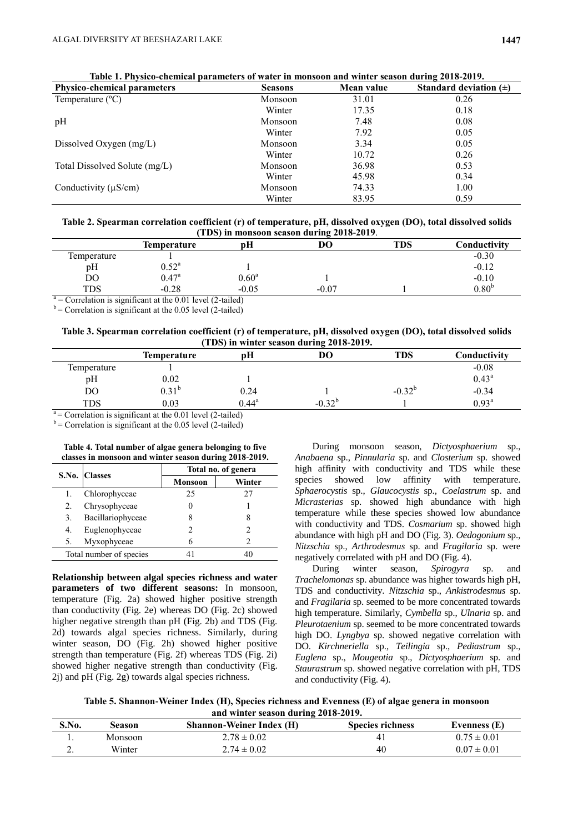| <b>Physico-chemical parameters</b> | <b>Seasons</b> | Mean value | Standard deviation $(\pm)$ |
|------------------------------------|----------------|------------|----------------------------|
| Temperature $(^{\circ}C)$          | Monsoon        | 31.01      | 0.26                       |
|                                    | Winter         | 17.35      | 0.18                       |
| pH                                 | Monsoon        | 7.48       | 0.08                       |
|                                    | Winter         | 7.92       | 0.05                       |
| Dissolved Oxygen $(mg/L)$          | Monsoon        | 3.34       | 0.05                       |
|                                    | Winter         | 10.72      | 0.26                       |
| Total Dissolved Solute (mg/L)      | Monsoon        | 36.98      | 0.53                       |
|                                    | Winter         | 45.98      | 0.34                       |
| Conductivity $(\mu S/cm)$          | Monsoon        | 74.33      | 1.00                       |
|                                    | Winter         | 83.95      | 0.59                       |

|  | Table 1. Physico-chemical parameters of water in monsoon and winter season during 2018-2019. |  |  |
|--|----------------------------------------------------------------------------------------------|--|--|
|--|----------------------------------------------------------------------------------------------|--|--|

| Table 2. Spearman correlation coefficient (r) of temperature, pH, dissolved oxygen (DO), total dissolved solids |
|-----------------------------------------------------------------------------------------------------------------|
| (TDS) in monsoon season during 2018-2019.                                                                       |

|                                                                | <b>Temperature</b> | pH             | DО      | TDS | Conductivity      |  |  |
|----------------------------------------------------------------|--------------------|----------------|---------|-----|-------------------|--|--|
| Temperature                                                    |                    |                |         |     | $-0.30$           |  |  |
| pН                                                             | $0.52^{\rm a}$     |                |         |     | $-0.12$           |  |  |
| DO                                                             | $0.47^{\rm a}$     | $0.60^{\rm a}$ |         |     | $-0.10$           |  |  |
| <b>TDS</b>                                                     | $-0.28$            | $-0.05$        | $-0.07$ |     | 0.80 <sup>b</sup> |  |  |
| $a -$ Correlation is significant at the 0.01 level (2 to idea) |                    |                |         |     |                   |  |  |

= Correlation is significant at the 0.01 level (2-tailed)

 $b =$  Correlation is significant at the 0.05 level (2-tailed)

## **Table 3. Spearman correlation coefficient (r) of temperature, pH, dissolved oxygen (DO), total dissolved solids (TDS) in winter season during 2018-2019.**

|                                             | <b>Temperature</b> | pН             | DО          | <b>TDS</b>  | Conductivity   |
|---------------------------------------------|--------------------|----------------|-------------|-------------|----------------|
| Temperature                                 |                    |                |             |             | $-0.08$        |
| pH                                          | 0.02               |                |             |             | $0.43^{\rm a}$ |
| DO                                          | $0.31^{\rm b}$     | 0.24           |             | $-0.32^{b}$ | $-0.34$        |
| <b>TDS</b>                                  | 0.03               | $0.44^{\rm a}$ | $-0.32^{b}$ |             | $0.93^{\rm a}$ |
| $\mathbf{a}$ . The set of $\mathbf{a}$<br>. | .                  |                |             |             |                |

 $a =$  Correlation is significant at the 0.01 level (2-tailed)

 $b =$  Correlation is significant at the 0.05 level (2-tailed)

|    | classes in monsoon and winter season during 2018-2019. |                     |        |  |  |  |  |  |
|----|--------------------------------------------------------|---------------------|--------|--|--|--|--|--|
|    |                                                        | Total no. of genera |        |  |  |  |  |  |
|    | S.No. Classes                                          | <b>Monsoon</b>      | Winter |  |  |  |  |  |
|    | Chlorophyceae                                          | 25                  | 27     |  |  |  |  |  |
| 2. | Chrysophyceae                                          |                     |        |  |  |  |  |  |
| 3. | Bacillariophyceae                                      |                     | 8      |  |  |  |  |  |
| 4. | Euglenophyceae                                         | 2                   |        |  |  |  |  |  |
| 5. | Myxophyceae                                            |                     |        |  |  |  |  |  |
|    | Total number of species                                |                     |        |  |  |  |  |  |

**Table 4. Total number of algae genera belonging to five classes in monsoon and winter season during 2018-2019.**

**Relationship between algal species richness and water parameters of two different seasons:** In monsoon, temperature (Fig. 2a) showed higher positive strength than conductivity (Fig. 2e) whereas DO (Fig. 2c) showed higher negative strength than pH (Fig. 2b) and TDS (Fig. 2d) towards algal species richness. Similarly, during winter season, DO (Fig. 2h) showed higher positive strength than temperature (Fig. 2f) whereas TDS (Fig. 2i) showed higher negative strength than conductivity (Fig. 2j) and pH (Fig. 2g) towards algal species richness.

During monsoon season, *Dictyosphaerium* sp., *Anabaena* sp., *Pinnularia* sp. and *Closterium* sp. showed high affinity with conductivity and TDS while these species showed low affinity with temperature. *Sphaerocystis* sp., *Glaucocystis* sp., *Coelastrum* sp. and *Micrasterias* sp. showed high abundance with high temperature while these species showed low abundance with conductivity and TDS. *Cosmarium* sp. showed high abundance with high pH and DO (Fig. 3). *Oedogonium* sp., *Nitzschia* sp., *Arthrodesmus* sp. and *Fragilaria* sp. were negatively correlated with pH and DO (Fig. 4).

During winter season, *Spirogyra* sp. and *Trachelomonas* sp. abundance was higher towards high pH, TDS and conductivity. *Nitzschia* sp., *Ankistrodesmus* sp. and *Fragilaria* sp. seemed to be more concentrated towards high temperature. Similarly, *Cymbella* sp., *Ulnaria* sp. and *Pleurotaenium* sp. seemed to be more concentrated towards high DO. *Lyngbya* sp. showed negative correlation with DO. *Kirchneriella* sp., *Teilingia* sp., *Pediastrum* sp., *Euglena* sp., *Mougeotia* sp., *Dictyosphaerium* sp. and *Staurastrum* sp. showed negative correlation with pH, TDS and conductivity (Fig. 4).

**Table 5. Shannon-Weiner Index (H), Species richness and Evenness (E) of algae genera in monsoon and winter season during 2018-2019.**

| S.No.    | Season  | <b>Shannon-Weiner Index (H)</b> | <b>Species richness</b> | Evenness (E)    |
|----------|---------|---------------------------------|-------------------------|-----------------|
|          | Monsoon | $2.78 \pm 0.02$                 | 4,                      | $0.75 \pm 0.01$ |
| <u>.</u> | Winter  | $2.74 \pm 0.02$                 | 40                      | $0.07 \pm 0.01$ |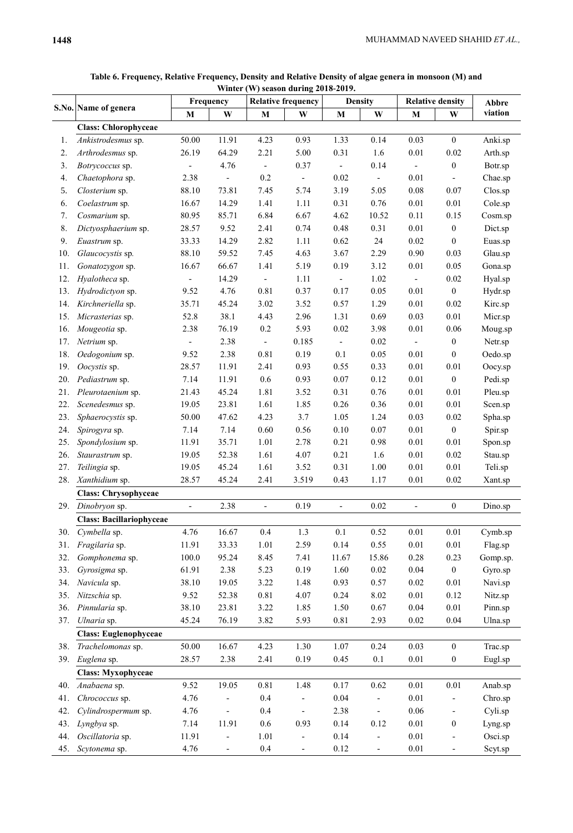|     |                                 | Frequency                |                          | <b>Relative frequency</b> |                          | <b>Density</b>           |                          | <b>Relative density</b>  |                          | Abbre    |
|-----|---------------------------------|--------------------------|--------------------------|---------------------------|--------------------------|--------------------------|--------------------------|--------------------------|--------------------------|----------|
|     | S.No. Name of genera            | M                        | W                        | $\mathbf M$               | W                        | M                        | W                        | M                        | W                        | viation  |
|     | <b>Class: Chlorophyceae</b>     |                          |                          |                           |                          |                          |                          |                          |                          |          |
| 1.  | Ankistrodesmus sp.              | 50.00                    | 11.91                    | 4.23                      | 0.93                     | 1.33                     | 0.14                     | 0.03                     | $\boldsymbol{0}$         | Anki.sp  |
| 2.  | Arthrodesmus sp.                | 26.19                    | 64.29                    | 2.21                      | 5.00                     | 0.31                     | 1.6                      | $0.01\,$                 | 0.02                     | Arth.sp  |
| 3.  | Botrycoccus sp.                 | $\blacksquare$           | 4.76                     | $\overline{\phantom{a}}$  | 0.37                     | $\blacksquare$           | 0.14                     | $\overline{\phantom{a}}$ | $\boldsymbol{0}$         | Botr.sp  |
| 4.  | Chaetophora sp.                 | 2.38                     | $\blacksquare$           | 0.2                       | $\Box$                   | $0.02\,$                 | $\blacksquare$           | $0.01\,$                 | $\frac{1}{2}$            | Chae.sp  |
| 5.  | Closterium sp.                  | 88.10                    | 73.81                    | 7.45                      | 5.74                     | 3.19                     | 5.05                     | 0.08                     | 0.07                     | Clos.sp  |
| 6.  | Coelastrum sp.                  | 16.67                    | 14.29                    | 1.41                      | 1.11                     | 0.31                     | 0.76                     | $0.01\,$                 | $0.01\,$                 | Cole.sp  |
| 7.  | Cosmarium sp.                   | 80.95                    | 85.71                    | 6.84                      | 6.67                     | 4.62                     | 10.52                    | 0.11                     | 0.15                     | Cosm.sp  |
| 8.  | Dictyosphaerium sp.             | 28.57                    | 9.52                     | 2.41                      | 0.74                     | 0.48                     | 0.31                     | $0.01\,$                 | $\boldsymbol{0}$         | Dict.sp  |
| 9.  | Euastrum sp.                    | 33.33                    | 14.29                    | 2.82                      | 1.11                     | 0.62                     | 24                       | 0.02                     | $\boldsymbol{0}$         | Euas.sp  |
| 10. | Glaucocystis sp.                | 88.10                    | 59.52                    | 7.45                      | 4.63                     | 3.67                     | 2.29                     | 0.90                     | 0.03                     | Glau.sp  |
| 11. | Gonatozygon sp.                 | 16.67                    | 66.67                    | 1.41                      | 5.19                     | 0.19                     | 3.12                     | $0.01\,$                 | 0.05                     | Gona.sp  |
| 12. | Hyalotheca sp.                  |                          | 14.29                    | $\overline{\phantom{a}}$  | 1.11                     | $\blacksquare$           | 1.02                     | $\overline{\phantom{a}}$ | $0.02\,$                 | Hyal.sp  |
| 13. | Hydrodictyon sp.                | 9.52                     | 4.76                     | 0.81                      | 0.37                     | 0.17                     | 0.05                     | $0.01\,$                 | $\boldsymbol{0}$         | Hydr.sp  |
| 14. | Kirchneriella sp.               | 35.71                    | 45.24                    | 3.02                      | 3.52                     | 0.57                     | 1.29                     | $0.01\,$                 | 0.02                     | Kirc.sp  |
| 15. | Micrasterias sp.                | 52.8                     | 38.1                     | 4.43                      | 2.96                     | 1.31                     | 0.69                     | 0.03                     | $0.01\,$                 | Micr.sp  |
| 16. | Mougeotia sp.                   | 2.38                     | 76.19                    | $0.2\,$                   | 5.93                     | 0.02                     | 3.98                     | $0.01\,$                 | 0.06                     | Moug.sp  |
| 17. | Netrium sp.                     | $\overline{\phantom{a}}$ | 2.38                     | $\overline{\phantom{a}}$  | 0.185                    | $\overline{\phantom{a}}$ | $0.02\,$                 | $\overline{\phantom{a}}$ | $\boldsymbol{0}$         | Netr.sp  |
| 18. | Oedogonium sp.                  | 9.52                     | 2.38                     | 0.81                      | 0.19                     | 0.1                      | 0.05                     | $0.01\,$                 | $\boldsymbol{0}$         | Oedo.sp  |
| 19. | Oocystis sp.                    | 28.57                    | 11.91                    | 2.41                      | 0.93                     | 0.55                     | 0.33                     | $0.01\,$                 | 0.01                     | Oocy.sp  |
| 20. | Pediastrum sp.                  | 7.14                     | 11.91                    | 0.6                       | 0.93                     | $0.07\,$                 | 0.12                     | $0.01\,$                 | $\boldsymbol{0}$         | Pedi.sp  |
| 21. | Pleurotaenium sp.               | 21.43                    | 45.24                    | 1.81                      | 3.52                     | 0.31                     | 0.76                     | $0.01\,$                 | $0.01\,$                 | Pleu.sp  |
| 22. | Scenedesmus sp.                 | 19.05                    | 23.81                    | 1.61                      | 1.85                     | 0.26                     | 0.36                     | $0.01\,$                 | $0.01\,$                 | Scen.sp  |
| 23. | Sphaerocystis sp.               | 50.00                    | 47.62                    | 4.23                      | 3.7                      | 1.05                     | 1.24                     | 0.03                     | $0.02\,$                 | Spha.sp  |
| 24. | Spirogyra sp.                   | 7.14                     | 7.14                     | 0.60                      | 0.56                     | 0.10                     | $0.07\,$                 | $0.01\,$                 | $\boldsymbol{0}$         | Spir.sp  |
| 25. | Spondylosium sp.                | 11.91                    | 35.71                    | 1.01                      | 2.78                     | 0.21                     | 0.98                     | $0.01\,$                 | $0.01\,$                 | Spon.sp  |
| 26. | Staurastrum sp.                 | 19.05                    | 52.38                    | 1.61                      | 4.07                     | 0.21                     | 1.6                      | $0.01\,$                 | 0.02                     | Stau.sp  |
| 27. | Teilingia sp.                   | 19.05                    | 45.24                    | 1.61                      | 3.52                     | 0.31                     | 1.00                     | $0.01\,$                 | $0.01\,$                 | Teli.sp  |
| 28. | Xanthidium sp.                  | 28.57                    | 45.24                    | 2.41                      | 3.519                    | 0.43                     | 1.17                     | 0.01                     | $0.02\,$                 | Xant.sp  |
|     | <b>Class: Chrysophyceae</b>     |                          |                          |                           |                          |                          |                          |                          |                          |          |
|     | 29. Dinobryon sp.               | $\overline{\phantom{a}}$ | 2.38                     | $\overline{\phantom{a}}$  | 0.19                     | $\overline{\phantom{a}}$ | 0.02                     | $\overline{a}$           | $\boldsymbol{0}$         | Dino.sp  |
|     | <b>Class: Bacillariophyceae</b> |                          |                          |                           |                          |                          |                          |                          |                          |          |
| 30. | Cymbella sp.                    | 4.76                     | 16.67                    | $0.4\,$                   | 1.3                      | $0.1\,$                  | 0.52                     | $0.01\,$                 | 0.01                     | Cymb.sp  |
| 31. | Fragilaria sp.                  | 11.91                    | 33.33                    | 1.01                      | 2.59                     | 0.14                     | 0.55                     | $0.01\,$                 | $0.01\,$                 | Flag.sp  |
| 32. | Gomphonema sp.                  | 100.0                    | 95.24                    | 8.45                      | 7.41                     | 11.67                    | 15.86                    | 0.28                     | 0.23                     | Gomp.sp. |
| 33. | Gyrosigma sp.                   | 61.91                    | 2.38                     | 5.23                      | 0.19                     | 1.60                     | $0.02\,$                 | 0.04                     | $\boldsymbol{0}$         | Gyro.sp  |
| 34. | Navicula sp.                    | 38.10                    | 19.05                    | 3.22                      | 1.48                     | 0.93                     | 0.57                     | 0.02                     | $0.01\,$                 | Navi.sp  |
| 35. | Nitzschia sp.                   | 9.52                     | 52.38                    | 0.81                      | 4.07                     | 0.24                     | 8.02                     | $0.01\,$                 | 0.12                     | Nitz.sp  |
| 36. | Pinnularia sp.                  | 38.10                    | 23.81                    | 3.22                      | 1.85                     | 1.50                     | $0.67\,$                 | 0.04                     | $0.01\,$                 | Pinn.sp  |
| 37. | Ulnaria sp.                     | 45.24                    | 76.19                    | 3.82                      | 5.93                     | 0.81                     | 2.93                     | 0.02                     | 0.04                     | Ulna.sp  |
|     | <b>Class: Euglenophyceae</b>    |                          |                          |                           |                          |                          |                          |                          |                          |          |
| 38. | Trachelomonas sp.               | 50.00                    | 16.67                    | 4.23                      | 1.30                     | 1.07                     | 0.24                     | 0.03                     | $\boldsymbol{0}$         | Trac.sp  |
|     |                                 |                          |                          |                           |                          |                          |                          |                          |                          |          |
| 39. | Euglena sp.                     | 28.57                    | 2.38                     | 2.41                      | 0.19                     | 0.45                     | 0.1                      | 0.01                     | $\boldsymbol{0}$         | Eugl.sp  |
|     | <b>Class: Myxophyceae</b>       |                          |                          |                           |                          |                          |                          |                          |                          |          |
| 40. | Anabaena sp.                    | 9.52                     | 19.05                    | 0.81                      | 1.48                     | 0.17                     | 0.62                     | 0.01                     | 0.01                     | Anab.sp  |
| 41. | Chrococcus sp.                  | 4.76                     | $\qquad \qquad -$        | 0.4                       | $\overline{\phantom{a}}$ | 0.04                     | $\blacksquare$           | $0.01\,$                 | $\overline{a}$           | Chro.sp  |
| 42. | Cylindrospermum sp.             | 4.76                     |                          | 0.4                       | $\overline{\phantom{a}}$ | 2.38                     | $\overline{\phantom{a}}$ | $0.06\,$                 | $\overline{\phantom{m}}$ | Cyli.sp  |
| 43. | Lyngbya sp.                     | 7.14                     | 11.91                    | 0.6                       | 0.93                     | 0.14                     | 0.12                     | $0.01\,$                 | $\boldsymbol{0}$         | Lyng.sp  |
| 44. | Oscillatoria sp.                | 11.91                    |                          | 1.01                      |                          | 0.14                     |                          | $0.01\,$                 | $\overline{a}$           | Osci.sp  |
| 45. | Scytonema sp.                   | 4.76                     | $\overline{\phantom{a}}$ | 0.4                       | $\overline{\phantom{a}}$ | 0.12                     | $\overline{\phantom{a}}$ | 0.01                     | $\qquad \qquad -$        | Scyt.sp  |

**Table 6. Frequency, Relative Frequency, Density and Relative Density of algae genera in monsoon (M) and Winter (W) season during 2018-2019.**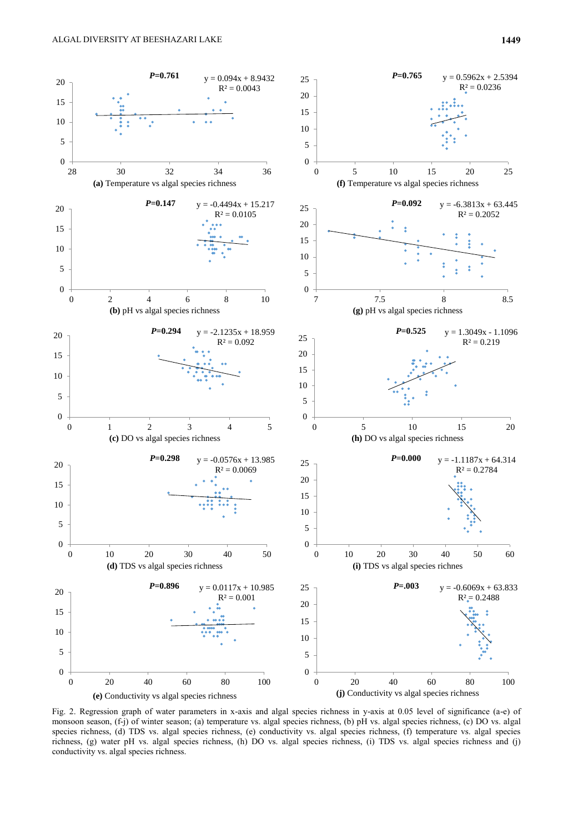

Fig. 2. Regression graph of water parameters in x-axis and algal species richness in y-axis at 0.05 level of significance (a-e) of monsoon season, (f-j) of winter season; (a) temperature vs. algal species richness, (b) pH vs. algal species richness, (c) DO vs. algal species richness, (d) TDS vs. algal species richness, (e) conductivity vs. algal species richness, (f) temperature vs. algal species richness, (g) water pH vs. algal species richness, (h) DO vs. algal species richness, (i) TDS vs. algal species richness and (j) conductivity vs. algal species richness.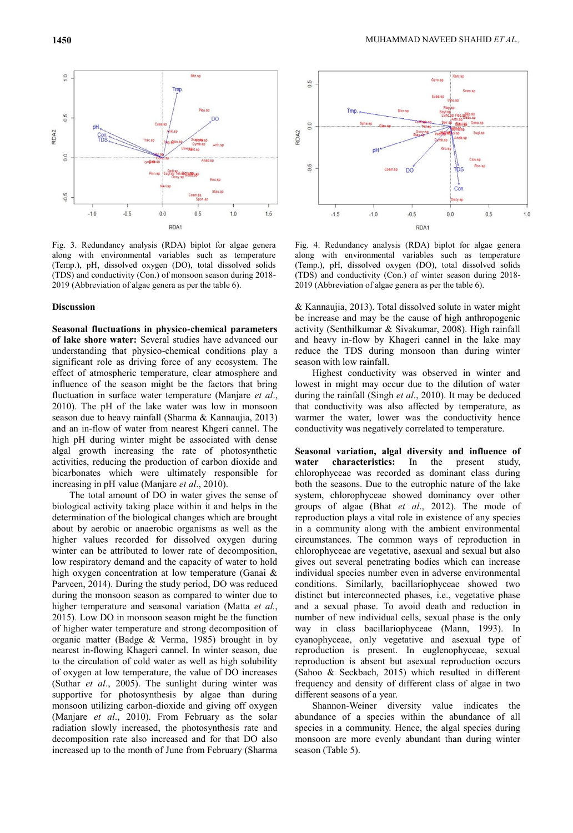

Fig. 3. Redundancy analysis (RDA) biplot for algae genera along with environmental variables such as temperature (Temp.), pH, dissolved oxygen (DO), total dissolved solids (TDS) and conductivity (Con.) of monsoon season during 2018- 2019 (Abbreviation of algae genera as per the table 6).

#### **Discussion**

**Seasonal fluctuations in physico-chemical parameters of lake shore water:** Several studies have advanced our understanding that physico-chemical conditions play a significant role as driving force of any ecosystem. The effect of atmospheric temperature, clear atmosphere and influence of the season might be the factors that bring fluctuation in surface water temperature (Manjare *et al*., 2010). The pH of the lake water was low in monsoon season due to heavy rainfall (Sharma & Kannaujia, 2013) and an in-flow of water from nearest Khgeri cannel. The high pH during winter might be associated with dense algal growth increasing the rate of photosynthetic activities, reducing the production of carbon dioxide and bicarbonates which were ultimately responsible for increasing in pH value (Manjare *et al*., 2010).

The total amount of DO in water gives the sense of biological activity taking place within it and helps in the determination of the biological changes which are brought about by aerobic or anaerobic organisms as well as the higher values recorded for dissolved oxygen during winter can be attributed to lower rate of decomposition, low respiratory demand and the capacity of water to hold high oxygen concentration at low temperature (Ganai & Parveen, 2014). During the study period, DO was reduced during the monsoon season as compared to winter due to higher temperature and seasonal variation (Matta *et al.*, 2015). Low DO in monsoon season might be the function of higher water temperature and strong decomposition of organic matter (Badge & Verma, 1985) brought in by nearest in-flowing Khageri cannel. In winter season, due to the circulation of cold water as well as high solubility of oxygen at low temperature, the value of DO increases (Suthar *et al*., 2005). The sunlight during winter was supportive for photosynthesis by algae than during monsoon utilizing carbon-dioxide and giving off oxygen (Manjare *et al*., 2010). From February as the solar radiation slowly increased, the photosynthesis rate and decomposition rate also increased and for that DO also increased up to the month of June from February (Sharma



Fig. 4. Redundancy analysis (RDA) biplot for algae genera along with environmental variables such as temperature (Temp.), pH, dissolved oxygen (DO), total dissolved solids (TDS) and conductivity (Con.) of winter season during 2018- 2019 (Abbreviation of algae genera as per the table 6).

& Kannaujia, 2013). Total dissolved solute in water might be increase and may be the cause of high anthropogenic activity (Senthilkumar & Sivakumar, 2008). High rainfall and heavy in-flow by Khageri cannel in the lake may reduce the TDS during monsoon than during winter season with low rainfall.

Highest conductivity was observed in winter and lowest in might may occur due to the dilution of water during the rainfall (Singh *et al*., 2010). It may be deduced that conductivity was also affected by temperature, as warmer the water, lower was the conductivity hence conductivity was negatively correlated to temperature.

**Seasonal variation, algal diversity and influence of water characteristics:** In the present study, chlorophyceae was recorded as dominant class during both the seasons. Due to the eutrophic nature of the lake system, chlorophyceae showed dominancy over other groups of algae (Bhat *et al*., 2012). The mode of reproduction plays a vital role in existence of any species in a community along with the ambient environmental circumstances. The common ways of reproduction in chlorophyceae are vegetative, asexual and sexual but also gives out several penetrating bodies which can increase individual species number even in adverse environmental conditions. Similarly, bacillariophyceae showed two distinct but interconnected phases, i.e., vegetative phase and a sexual phase. To avoid death and reduction in number of new individual cells, sexual phase is the only way in class bacillariophyceae (Mann, 1993). In cyanophyceae, only vegetative and asexual type of reproduction is present. In euglenophyceae, sexual reproduction is absent but asexual reproduction occurs (Sahoo & Seckbach, 2015) which resulted in different frequency and density of different class of algae in two different seasons of a year.

Shannon-Weiner diversity value indicates the abundance of a species within the abundance of all species in a community. Hence, the algal species during monsoon are more evenly abundant than during winter season (Table 5).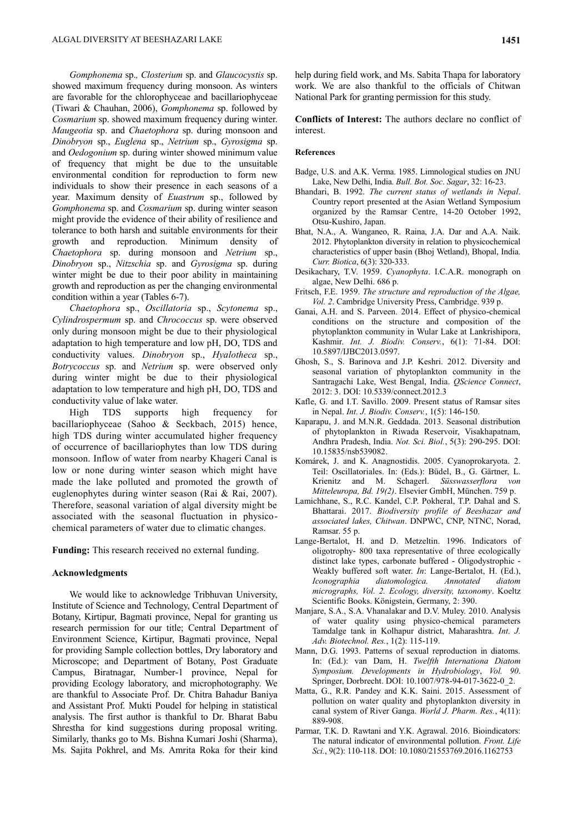*Gomphonema* sp.*, Closterium* sp. and *Glaucocystis* sp. showed maximum frequency during monsoon. As winters are favorable for the chlorophyceae and bacillariophyceae (Tiwari & Chauhan, 2006), *Gomphonema* sp. followed by *Cosmarium* sp. showed maximum frequency during winter. *Maugeotia* sp. and *Chaetophora* sp. during monsoon and *Dinobryon* sp., *Euglena* sp., *Netrium* sp., *Gyrosigma* sp. and *Oedogonium* sp. during winter showed minimum value of frequency that might be due to the unsuitable environmental condition for reproduction to form new individuals to show their presence in each seasons of a year. Maximum density of *Euastrum* sp., followed by *Gomphonema* sp. and *Cosmarium* sp. during winter season might provide the evidence of their ability of resilience and tolerance to both harsh and suitable environments for their growth and reproduction. Minimum density of *Chaetophora* sp. during monsoon and *Netrium* sp., *Dinobryon* sp., *Nitzschia* sp. and *Gyrosigma* sp. during winter might be due to their poor ability in maintaining growth and reproduction as per the changing environmental condition within a year (Tables 6-7).

*Chaetophora* sp., *Oscillatoria* sp., *Scytonema* sp., *Cylindrospermum* sp. and *Chrococcus* sp. were observed only during monsoon might be due to their physiological adaptation to high temperature and low pH, DO, TDS and conductivity values. *Dinobryon* sp., *Hyalotheca* sp., *Botrycoccus* sp. and *Netrium* sp. were observed only during winter might be due to their physiological adaptation to low temperature and high pH, DO, TDS and conductivity value of lake water.

High TDS supports high frequency for bacillariophyceae (Sahoo & Seckbach, 2015) hence, high TDS during winter accumulated higher frequency of occurrence of bacillariophytes than low TDS during monsoon. Inflow of water from nearby Khageri Canal is low or none during winter season which might have made the lake polluted and promoted the growth of euglenophytes during winter season (Rai & Rai, 2007). Therefore, seasonal variation of algal diversity might be associated with the seasonal fluctuation in physicochemical parameters of water due to climatic changes.

**Funding:** This research received no external funding.

## **Acknowledgments**

We would like to acknowledge Tribhuvan University, Institute of Science and Technology, Central Department of Botany, Kirtipur, Bagmati province, Nepal for granting us research permission for our title; Central Department of Environment Science, Kirtipur, Bagmati province, Nepal for providing Sample collection bottles, Dry laboratory and Microscope; and Department of Botany, Post Graduate Campus, Biratnagar, Number-1 province, Nepal for providing Ecology laboratory, and microphotography. We are thankful to Associate Prof. Dr. Chitra Bahadur Baniya and Assistant Prof. Mukti Poudel for helping in statistical analysis. The first author is thankful to Dr. Bharat Babu Shrestha for kind suggestions during proposal writing. Similarly, thanks go to Ms. Bishna Kumari Joshi (Sharma), Ms. Sajita Pokhrel, and Ms. Amrita Roka for their kind

help during field work, and Ms. Sabita Thapa for laboratory work. We are also thankful to the officials of Chitwan National Park for granting permission for this study.

**Conflicts of Interest:** The authors declare no conflict of interest.

## **References**

- Badge, U.S. and A.K. Verma. 1985. Limnological studies on JNU Lake, New Delhi, India. *Bull. Bot. Soc*. *Sagar*, 32: 16-23.
- Bhandari, B. 1992. *The current status of wetlands in Nepal*. Country report presented at the Asian Wetland Symposium organized by the Ramsar Centre, 14-20 October 1992, Otsu-Kushiro, Japan.
- Bhat, N.A., A. Wanganeo, R. Raina, J.A. Dar and A.A. Naik. 2012. Phytoplankton diversity in relation to physicochemical characteristics of upper basin (Bhoj Wetland), Bhopal, India. *Curr. Biotica*, 6(3): 320-333.
- Desikachary, T.V. 1959. *Cyanophyta*. I.C.A.R. monograph on algae, New Delhi. 686 p.
- Fritsch, F.E. 1959. *The structure and reproduction of the Algae, Vol. 2*. Cambridge University Press, Cambridge. 939 p.
- Ganai, A.H. and S. Parveen. 2014. Effect of physico-chemical conditions on the structure and composition of the phytoplankton community in Wular Lake at Lankrishipora, Kashmir. *Int. J. Biodiv. Conserv.*, 6(1): 71-84. DOI: 10.5897/IJBC2013.0597.
- Ghosh, S., S. Barinova and J.P. Keshri. 2012. Diversity and seasonal variation of phytoplankton community in the Santragachi Lake, West Bengal, India. *QScience Connect*, 2012: 3. DOI: [10.5339/connect.2012.3](https://doi.org/10.5339/connect.2012.3)
- Kafle, G. and I.T. Savillo. 2009. Present status of Ramsar sites in Nepal. *Int. J. Biodiv. Conserv.*, 1(5): 146-150.
- Kaparapu, J. and M.N.R. Geddada. 2013. Seasonal distribution of phytoplankton in Riwada Reservoir, Visakhapatnam, Andhra Pradesh, India. *Not. Sci. Biol.*, 5(3): 290-295. DOI: [10.15835/nsb539082.](https://doi.org/10.15835/nsb539082)
- Komárek, J. and K. Anagnostidis. 2005. Cyanoprokaryota. 2. Teil: Oscillatoriales. In: (Eds.): Büdel, B., G. Gärtner, L. Krienitz and M. Schagerl. *Süsswasserflora von Mitteleuropa, Bd. 19(2)*. Elsevier GmbH, München. 759 p.
- Lamichhane, S., R.C. Kandel, C.P. Pokheral, T.P. Dahal and S. Bhattarai. 2017. *Biodiversity profile of Beeshazar and associated lakes, Chitwan*. DNPWC, CNP, NTNC, Norad, Ramsar. 55 p.
- Lange-Bertalot, H. and D. Metzeltin. 1996. Indicators of oligotrophy- 800 taxa representative of three ecologically distinct lake types, carbonate buffered - Oligodystrophic - Weakly buffered soft water. *In*: Lange-Bertalot, H. (Ed.), *Iconographia diatomologica. Annotated diatom micrographs, Vol. 2. Ecology, diversity, taxonomy*. Koeltz Scientific Books. Königstein, Germany, 2: 390.
- Manjare, S.A., S.A. Vhanalakar and D.V. Muley. 2010. Analysis of water quality using physico-chemical parameters Tamdalge tank in Kolhapur district, Maharashtra. *Int. J. Adv. Biotechnol. Res.*, 1(2): 115-119.
- Mann, D.G. 1993. Patterns of sexual reproduction in diatoms. In: (Ed.): van Dam, H. *Twelfth Internationa Diatom Symposium. Developments in Hydrobiology*, *Vol. 90*. Springer, Dorbrecht. DOI: 10.1007/978-94-017-3622-0\_2.
- Matta, G., R.R. Pandey and K.K. Saini. 2015. Assessment of pollution on water quality and phytoplankton diversity in canal system of River Ganga. *World J. Pharm. Res.*, 4(11): 889-908.
- Parmar, T.K. D. Rawtani and Y.K. Agrawal. 2016. Bioindicators: The natural indicator of environmental pollution. *Front. Life Sci.*, 9(2): 110-118. DOI: 10.1080/21553769.2016.1162753